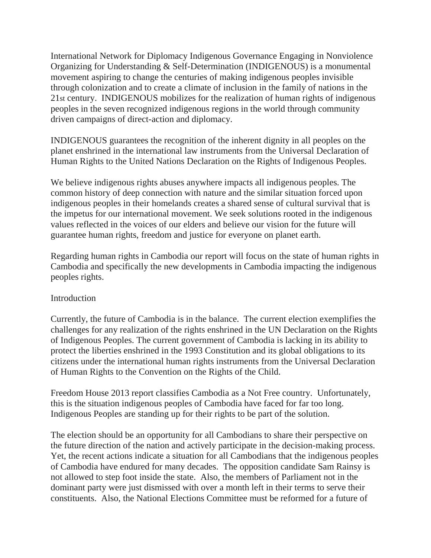International Network for Diplomacy Indigenous Governance Engaging in Nonviolence Organizing for Understanding & Self-Determination (INDIGENOUS) is a monumental movement aspiring to change the centuries of making indigenous peoples invisible through colonization and to create a climate of inclusion in the family of nations in the 21st century. INDIGENOUS mobilizes for the realization of human rights of indigenous peoples in the seven recognized indigenous regions in the world through community driven campaigns of direct-action and diplomacy.

INDIGENOUS guarantees the recognition of the inherent dignity in all peoples on the planet enshrined in the international law instruments from the Universal Declaration of Human Rights to the United Nations Declaration on the Rights of Indigenous Peoples.

We believe indigenous rights abuses anywhere impacts all indigenous peoples. The common history of deep connection with nature and the similar situation forced upon indigenous peoples in their homelands creates a shared sense of cultural survival that is the impetus for our international movement. We seek solutions rooted in the indigenous values reflected in the voices of our elders and believe our vision for the future will guarantee human rights, freedom and justice for everyone on planet earth.

Regarding human rights in Cambodia our report will focus on the state of human rights in Cambodia and specifically the new developments in Cambodia impacting the indigenous peoples rights.

## Introduction

Currently, the future of Cambodia is in the balance. The current election exemplifies the challenges for any realization of the rights enshrined in the UN Declaration on the Rights of Indigenous Peoples. The current government of Cambodia is lacking in its ability to protect the liberties enshrined in the 1993 Constitution and its global obligations to its citizens under the international human rights instruments from the Universal Declaration of Human Rights to the Convention on the Rights of the Child.

Freedom House 2013 report classifies Cambodia as a Not Free country. Unfortunately, this is the situation indigenous peoples of Cambodia have faced for far too long. Indigenous Peoples are standing up for their rights to be part of the solution.

The election should be an opportunity for all Cambodians to share their perspective on the future direction of the nation and actively participate in the decision-making process. Yet, the recent actions indicate a situation for all Cambodians that the indigenous peoples of Cambodia have endured for many decades. The opposition candidate Sam Rainsy is not allowed to step foot inside the state. Also, the members of Parliament not in the dominant party were just dismissed with over a month left in their terms to serve their constituents. Also, the National Elections Committee must be reformed for a future of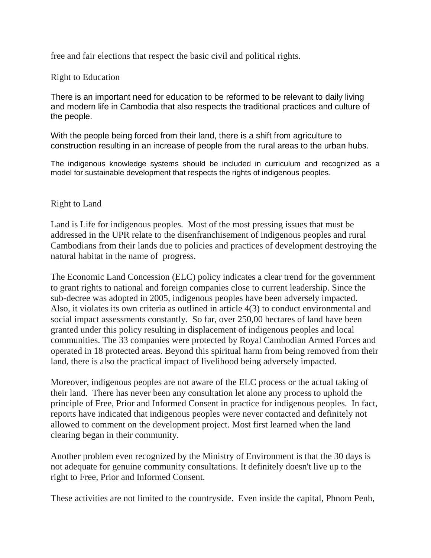free and fair elections that respect the basic civil and political rights.

## Right to Education

There is an important need for education to be reformed to be relevant to daily living and modern life in Cambodia that also respects the traditional practices and culture of the people.

With the people being forced from their land, there is a shift from agriculture to construction resulting in an increase of people from the rural areas to the urban hubs.

The indigenous knowledge systems should be included in curriculum and recognized as a model for sustainable development that respects the rights of indigenous peoples.

## Right to Land

Land is Life for indigenous peoples. Most of the most pressing issues that must be addressed in the UPR relate to the disenfranchisement of indigenous peoples and rural Cambodians from their lands due to policies and practices of development destroying the natural habitat in the name of progress.

The Economic Land Concession (ELC) policy indicates a clear trend for the government to grant rights to national and foreign companies close to current leadership. Since the sub-decree was adopted in 2005, indigenous peoples have been adversely impacted. Also, it violates its own criteria as outlined in article 4(3) to conduct environmental and social impact assessments constantly. So far, over 250,00 hectares of land have been granted under this policy resulting in displacement of indigenous peoples and local communities. The 33 companies were protected by Royal Cambodian Armed Forces and operated in 18 protected areas. Beyond this spiritual harm from being removed from their land, there is also the practical impact of livelihood being adversely impacted.

Moreover, indigenous peoples are not aware of the ELC process or the actual taking of their land. There has never been any consultation let alone any process to uphold the principle of Free, Prior and Informed Consent in practice for indigenous peoples. In fact, reports have indicated that indigenous peoples were never contacted and definitely not allowed to comment on the development project. Most first learned when the land clearing began in their community.

Another problem even recognized by the Ministry of Environment is that the 30 days is not adequate for genuine community consultations. It definitely doesn't live up to the right to Free, Prior and Informed Consent.

These activities are not limited to the countryside. Even inside the capital, Phnom Penh,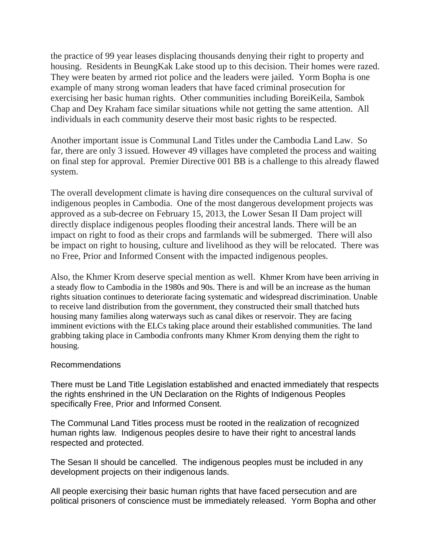the practice of 99 year leases displacing thousands denying their right to property and housing. Residents in BeungKak Lake stood up to this decision. Their homes were razed. They were beaten by armed riot police and the leaders were jailed. Yorm Bopha is one example of many strong woman leaders that have faced criminal prosecution for exercising her basic human rights. Other communities including BoreiKeila, Sambok Chap and Dey Kraham face similar situations while not getting the same attention. All individuals in each community deserve their most basic rights to be respected.

Another important issue is Communal Land Titles under the Cambodia Land Law. So far, there are only 3 issued. However 49 villages have completed the process and waiting on final step for approval. Premier Directive 001 BB is a challenge to this already flawed system.

The overall development climate is having dire consequences on the cultural survival of indigenous peoples in Cambodia. One of the most dangerous development projects was approved as a sub-decree on February 15, 2013, the Lower Sesan II Dam project will directly displace indigenous peoples flooding their ancestral lands. There will be an impact on right to food as their crops and farmlands will be submerged. There will also be impact on right to housing, culture and livelihood as they will be relocated. There was no Free, Prior and Informed Consent with the impacted indigenous peoples.

Also, the Khmer Krom deserve special mention as well. Khmer Krom have been arriving in a steady flow to Cambodia in the 1980s and 90s. There is and will be an increase as the human rights situation continues to deteriorate facing systematic and widespread discrimination. Unable to receive land distribution from the government, they constructed their small thatched huts housing many families along waterways such as canal dikes or reservoir. They are facing imminent evictions with the ELCs taking place around their established communities. The land grabbing taking place in Cambodia confronts many Khmer Krom denying them the right to housing.

## Recommendations

There must be Land Title Legislation established and enacted immediately that respects the rights enshrined in the UN Declaration on the Rights of Indigenous Peoples specifically Free, Prior and Informed Consent.

The Communal Land Titles process must be rooted in the realization of recognized human rights law. Indigenous peoples desire to have their right to ancestral lands respected and protected.

The Sesan II should be cancelled. The indigenous peoples must be included in any development projects on their indigenous lands.

All people exercising their basic human rights that have faced persecution and are political prisoners of conscience must be immediately released. Yorm Bopha and other